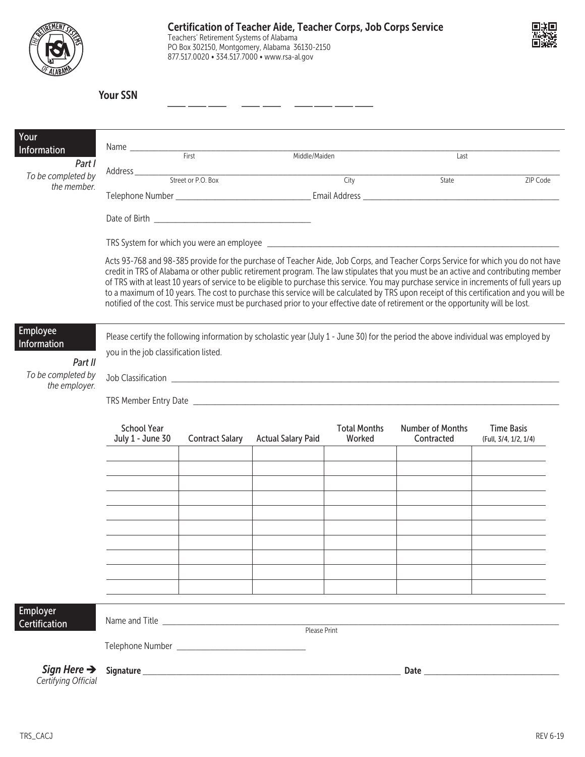|                                                                           |                                                                                                                                                                                                                                                                                                                                                                                                                                                                                                                                                                                                                                                                                                    | Teachers' Retirement Systems of Alabama<br>877.517.0020 • 334.517.7000 • www.rsa-al.gov | PO Box 302150, Montgomery, Alabama 36130-2150 | <b>Certification of Teacher Aide, Teacher Corps, Job Corps Service</b> |                                |                                            |
|---------------------------------------------------------------------------|----------------------------------------------------------------------------------------------------------------------------------------------------------------------------------------------------------------------------------------------------------------------------------------------------------------------------------------------------------------------------------------------------------------------------------------------------------------------------------------------------------------------------------------------------------------------------------------------------------------------------------------------------------------------------------------------------|-----------------------------------------------------------------------------------------|-----------------------------------------------|------------------------------------------------------------------------|--------------------------------|--------------------------------------------|
|                                                                           | <b>Your SSN</b>                                                                                                                                                                                                                                                                                                                                                                                                                                                                                                                                                                                                                                                                                    |                                                                                         |                                               |                                                                        |                                |                                            |
| Your<br>Information<br>Part I<br>To be completed by<br>the member.        |                                                                                                                                                                                                                                                                                                                                                                                                                                                                                                                                                                                                                                                                                                    |                                                                                         |                                               |                                                                        | Last                           |                                            |
|                                                                           |                                                                                                                                                                                                                                                                                                                                                                                                                                                                                                                                                                                                                                                                                                    |                                                                                         |                                               |                                                                        | State                          | ZIP Code                                   |
|                                                                           | Acts 93-768 and 98-385 provide for the purchase of Teacher Aide, Job Corps, and Teacher Corps Service for which you do not have<br>credit in TRS of Alabama or other public retirement program. The law stipulates that you must be an active and contributing member<br>of TRS with at least 10 years of service to be eligible to purchase this service. You may purchase service in increments of full years up<br>to a maximum of 10 years. The cost to purchase this service will be calculated by TRS upon receipt of this certification and you will be<br>notified of the cost. This service must be purchased prior to your effective date of retirement or the opportunity will be lost. |                                                                                         |                                               |                                                                        |                                |                                            |
| Employee<br>Information<br>Part II<br>To be completed by<br>the employer. | Please certify the following information by scholastic year (July 1 - June 30) for the period the above individual was employed by<br>you in the job classification listed.<br>Job Classification <u>example and the set of the set of the set of the set of the set of the set of the set of the set of the set of the set of the set of the set of the set of the set of the set of the set of the set of the</u>                                                                                                                                                                                                                                                                                |                                                                                         |                                               |                                                                        |                                |                                            |
|                                                                           | <b>School Year</b>                                                                                                                                                                                                                                                                                                                                                                                                                                                                                                                                                                                                                                                                                 | July 1 - June 30 Contract Salary Actual Salary Paid                                     |                                               | <b>Total Months</b><br>Worked                                          | Number of Months<br>Contracted | <b>Time Basis</b><br>(Full, 3/4, 1/2, 1/4) |
|                                                                           |                                                                                                                                                                                                                                                                                                                                                                                                                                                                                                                                                                                                                                                                                                    |                                                                                         |                                               |                                                                        |                                |                                            |
|                                                                           |                                                                                                                                                                                                                                                                                                                                                                                                                                                                                                                                                                                                                                                                                                    |                                                                                         |                                               |                                                                        |                                |                                            |
|                                                                           |                                                                                                                                                                                                                                                                                                                                                                                                                                                                                                                                                                                                                                                                                                    |                                                                                         |                                               |                                                                        |                                |                                            |
| Employer<br>Certification                                                 | Please Print                                                                                                                                                                                                                                                                                                                                                                                                                                                                                                                                                                                                                                                                                       |                                                                                         |                                               |                                                                        |                                |                                            |
| Sign Here $\rightarrow$<br>Certifying Official                            |                                                                                                                                                                                                                                                                                                                                                                                                                                                                                                                                                                                                                                                                                                    |                                                                                         |                                               |                                                                        |                                |                                            |